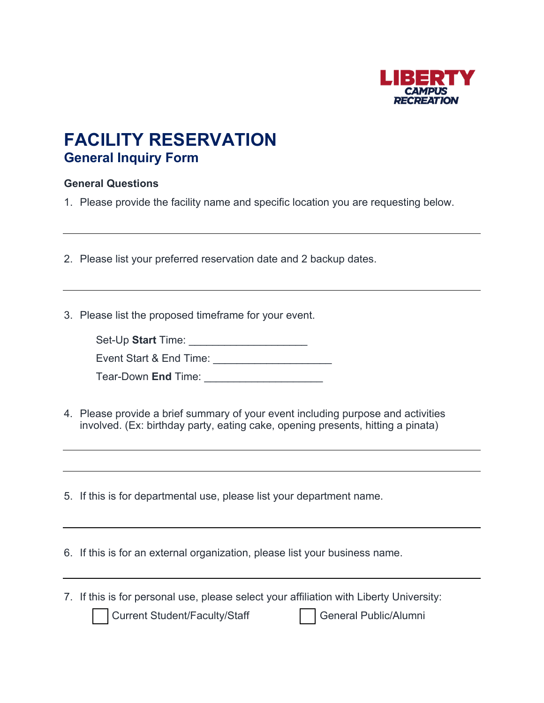

## **FACILITY RESERVATION General Inquiry Form**

## **General Questions**

1. Please provide the facility name and specific location you are requesting below.

2. Please list your preferred reservation date and 2 backup dates.

3. Please list the proposed timeframe for your event.

| Set-Up Start Time: |  |
|--------------------|--|
|--------------------|--|

Event Start & End Time: \_\_\_\_\_\_\_\_\_\_\_\_\_\_\_\_\_\_\_\_

Tear-Down **End** Time: \_\_\_\_\_\_\_\_\_\_\_\_\_\_\_\_\_\_\_\_

4. Please provide a brief summary of your event including purpose and activities involved. (Ex: birthday party, eating cake, opening presents, hitting a pinata)

5. If this is for departmental use, please list your department name.

6. If this is for an external organization, please list your business name.

7. If this is for personal use, please select your affiliation with Liberty University:

Current Student/Faculty/Staff General Public/Alumni